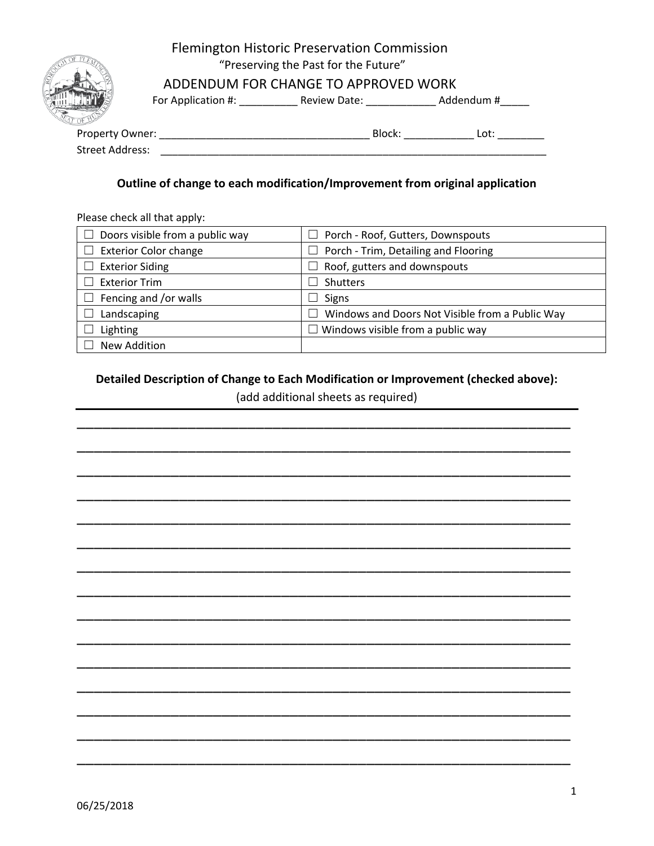

## Flemington Historic Preservation Commission "Preserving the Past for the Future"

## ADDENDUM FOR CHANGE TO APPROVED WORK

For Application #: \_\_\_\_\_\_\_\_\_\_\_\_\_\_ Review Date: \_\_\_\_\_\_\_\_\_\_\_\_\_\_\_ Addendum #\_\_\_\_\_\_

Property Owner: \_\_\_\_\_\_\_\_\_\_\_\_\_\_\_\_\_\_\_\_\_\_\_\_\_\_\_\_\_\_\_\_\_\_\_\_ Block: \_\_\_\_\_\_\_\_\_\_\_\_ Lot: \_\_\_\_\_\_\_\_ Street Address: \_\_\_\_\_\_\_\_\_\_\_\_\_\_\_\_\_\_\_\_\_\_\_\_\_\_\_\_\_\_\_\_\_\_\_\_\_\_\_\_\_\_\_\_\_\_\_\_\_\_\_\_\_\_\_\_\_\_\_\_\_\_\_\_\_\_

#### **Outline of change to each modification/Improvement from original application**

Please check all that apply:

| $\Box$ Doors visible from a public way | Porch - Roof, Gutters, Downspouts<br>$\Box$                                 |
|----------------------------------------|-----------------------------------------------------------------------------|
| $\Box$ Exterior Color change           | Porch - Trim, Detailing and Flooring<br>$\Box$                              |
| $\Box$ Exterior Siding                 | Roof, gutters and downspouts<br>r I                                         |
| $\Box$ Exterior Trim                   | Shutters                                                                    |
| $\Box$ Fencing and /or walls           | <b>Signs</b>                                                                |
| Landscaping                            | Windows and Doors Not Visible from a Public Way<br>$\overline{\phantom{a}}$ |
| Lighting                               | Windows visible from a public way<br>$\blacksquare$                         |
| New Addition                           |                                                                             |
|                                        |                                                                             |

#### **Detailed Description of Change to Each Modification or Improvement (checked above):**

(add additional sheets as required)

\_\_\_\_\_\_\_\_\_\_\_\_\_\_\_\_\_\_\_\_\_\_\_\_\_\_\_\_\_\_\_\_\_\_\_\_\_\_\_\_\_\_\_\_\_\_\_\_\_\_\_\_\_\_\_\_\_\_

\_\_\_\_\_\_\_\_\_\_\_\_\_\_\_\_\_\_\_\_\_\_\_\_\_\_\_\_\_\_\_\_\_\_\_\_\_\_\_\_\_\_\_\_\_\_\_\_\_\_\_\_\_\_\_\_\_\_

\_\_\_\_\_\_\_\_\_\_\_\_\_\_\_\_\_\_\_\_\_\_\_\_\_\_\_\_\_\_\_\_\_\_\_\_\_\_\_\_\_\_\_\_\_\_\_\_\_\_\_\_\_\_\_\_\_\_

\_\_\_\_\_\_\_\_\_\_\_\_\_\_\_\_\_\_\_\_\_\_\_\_\_\_\_\_\_\_\_\_\_\_\_\_\_\_\_\_\_\_\_\_\_\_\_\_\_\_\_\_\_\_\_\_\_\_

\_\_\_\_\_\_\_\_\_\_\_\_\_\_\_\_\_\_\_\_\_\_\_\_\_\_\_\_\_\_\_\_\_\_\_\_\_\_\_\_\_\_\_\_\_\_\_\_\_\_\_\_\_\_\_\_\_\_

\_\_\_\_\_\_\_\_\_\_\_\_\_\_\_\_\_\_\_\_\_\_\_\_\_\_\_\_\_\_\_\_\_\_\_\_\_\_\_\_\_\_\_\_\_\_\_\_\_\_\_\_\_\_\_\_\_\_

\_\_\_\_\_\_\_\_\_\_\_\_\_\_\_\_\_\_\_\_\_\_\_\_\_\_\_\_\_\_\_\_\_\_\_\_\_\_\_\_\_\_\_\_\_\_\_\_\_\_\_\_\_\_\_\_\_\_

\_\_\_\_\_\_\_\_\_\_\_\_\_\_\_\_\_\_\_\_\_\_\_\_\_\_\_\_\_\_\_\_\_\_\_\_\_\_\_\_\_\_\_\_\_\_\_\_\_\_\_\_\_\_\_\_\_\_

\_\_\_\_\_\_\_\_\_\_\_\_\_\_\_\_\_\_\_\_\_\_\_\_\_\_\_\_\_\_\_\_\_\_\_\_\_\_\_\_\_\_\_\_\_\_\_\_\_\_\_\_\_\_\_\_\_\_

\_\_\_\_\_\_\_\_\_\_\_\_\_\_\_\_\_\_\_\_\_\_\_\_\_\_\_\_\_\_\_\_\_\_\_\_\_\_\_\_\_\_\_\_\_\_\_\_\_\_\_\_\_\_\_\_\_\_

\_\_\_\_\_\_\_\_\_\_\_\_\_\_\_\_\_\_\_\_\_\_\_\_\_\_\_\_\_\_\_\_\_\_\_\_\_\_\_\_\_\_\_\_\_\_\_\_\_\_\_\_\_\_\_\_\_\_

\_\_\_\_\_\_\_\_\_\_\_\_\_\_\_\_\_\_\_\_\_\_\_\_\_\_\_\_\_\_\_\_\_\_\_\_\_\_\_\_\_\_\_\_\_\_\_\_\_\_\_\_\_\_\_\_\_\_

\_\_\_\_\_\_\_\_\_\_\_\_\_\_\_\_\_\_\_\_\_\_\_\_\_\_\_\_\_\_\_\_\_\_\_\_\_\_\_\_\_\_\_\_\_\_\_\_\_\_\_\_\_\_\_\_\_\_

\_\_\_\_\_\_\_\_\_\_\_\_\_\_\_\_\_\_\_\_\_\_\_\_\_\_\_\_\_\_\_\_\_\_\_\_\_\_\_\_\_\_\_\_\_\_\_\_\_\_\_\_\_\_\_\_\_\_

\_\_\_\_\_\_\_\_\_\_\_\_\_\_\_\_\_\_\_\_\_\_\_\_\_\_\_\_\_\_\_\_\_\_\_\_\_\_\_\_\_\_\_\_\_\_\_\_\_\_\_\_\_\_\_\_\_\_